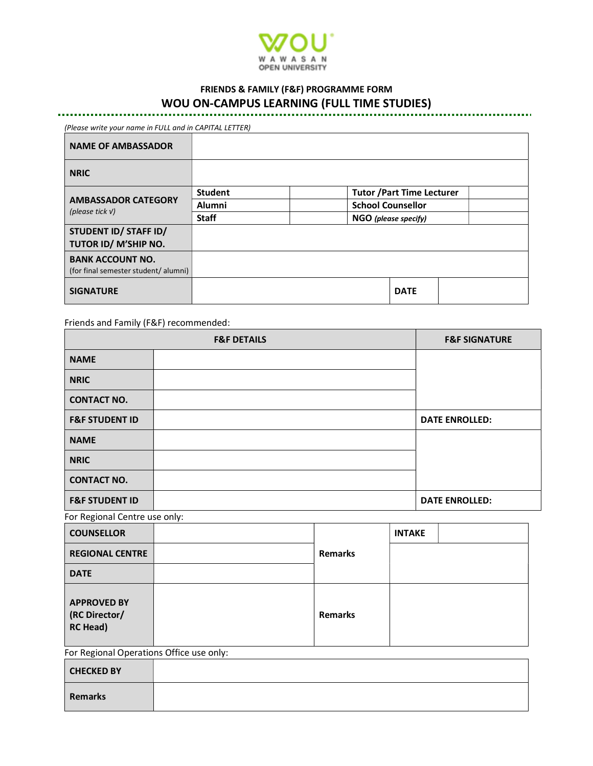

# FRIENDS & FAMILY (F&F) PROGRAMME FORM WOU ON-CAMPUS LEARNING (FULL TIME STUDIES)

(Please write your name in FULL and in CAPITAL LETTER)

| <b>NAME OF AMBASSADOR</b>                                      |                |                                   |  |
|----------------------------------------------------------------|----------------|-----------------------------------|--|
| <b>NRIC</b>                                                    |                |                                   |  |
| <b>AMBASSADOR CATEGORY</b><br>(please tick $V$ )               | <b>Student</b> | <b>Tutor / Part Time Lecturer</b> |  |
|                                                                | <b>Alumni</b>  | <b>School Counsellor</b>          |  |
|                                                                | <b>Staff</b>   | NGO (please specify)              |  |
| STUDENT ID/ STAFF ID/<br>TUTOR ID/ M'SHIP NO.                  |                |                                   |  |
| <b>BANK ACCOUNT NO.</b><br>(for final semester student/alumni) |                |                                   |  |
| <b>SIGNATURE</b>                                               |                | <b>DATE</b>                       |  |

Friends and Family (F&F) recommended:

|                               | <b>F&amp;F DETAILS</b> | <b>F&amp;F SIGNATURE</b> |
|-------------------------------|------------------------|--------------------------|
| <b>NAME</b>                   |                        |                          |
| <b>NRIC</b>                   |                        |                          |
| <b>CONTACT NO.</b>            |                        |                          |
| <b>F&amp;F STUDENT ID</b>     |                        | <b>DATE ENROLLED:</b>    |
| <b>NAME</b>                   |                        |                          |
| <b>NRIC</b>                   |                        |                          |
| <b>CONTACT NO.</b>            |                        |                          |
| <b>F&amp;F STUDENT ID</b>     |                        | <b>DATE ENROLLED:</b>    |
| For Regional Centre use only: |                        |                          |

**COUNSELLOR** Remarks INTAKE REGIONAL CENTRE DATE APPROVED BY (RC Director/ RC Head) Remarks For Regional Operations Office use only:

| <b>CHECKED BY</b> |  |
|-------------------|--|
| Remarks           |  |